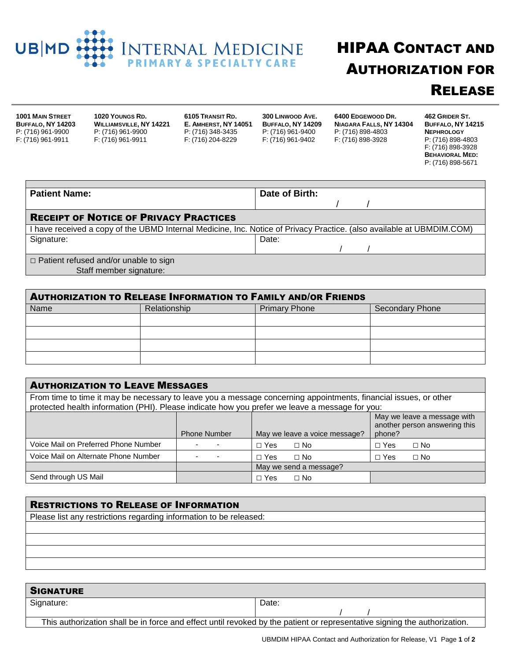

## HIPAA CONTACT AND AUTHORIZATION FOR **RELEASE**

**1001 MAIN STREET BUFFALO, NY 14203** P: (716) 961-9900 F: (716) 961-9911

**1020 YOUNGS RD. WILLIAMSVILLE, NY 14221** P: (716) 961-9900 F: (716) 961-9911

**6105 TRANSIT RD. E. AMHERST, NY 14051** P: (716) 348-3435 F: (716) 204-8229

**300 LINWOOD AVE. BUFFALO, NY 14209** P: (716) 961-9400 F: (716) 961-9402

**6400 EDGEWOOD DR. NIAGARA FALLS, NY 14304** P: (716) 898-4803 F: (716) 898-3928

**462 GRIDER ST. BUFFALO, NY 14215 NEPHROLOGY** P: (716) 898-4803 F: (716) 898-3928 **BEHAVIORAL MED:** P: (716) 898-5671

| <b>Patient Name:</b>                          | Date of Birth:                                                                                                        |
|-----------------------------------------------|-----------------------------------------------------------------------------------------------------------------------|
|                                               |                                                                                                                       |
| <b>RECEIPT OF NOTICE OF PRIVACY PRACTICES</b> |                                                                                                                       |
|                                               | I have received a copy of the UBMD Internal Medicine, Inc. Notice of Privacy Practice. (also available at UBMDIM.COM) |
| Signature:                                    | Date:                                                                                                                 |
|                                               |                                                                                                                       |
| $\Box$ Patient refused and/or unable to sign  |                                                                                                                       |
| Staff member signature:                       |                                                                                                                       |

| <b>AUTHORIZATION TO RELEASE INFORMATION TO FAMILY AND/OR FRIENDS</b> |              |                      |                 |
|----------------------------------------------------------------------|--------------|----------------------|-----------------|
| Name                                                                 | Relationship | <b>Primary Phone</b> | Secondary Phone |
|                                                                      |              |                      |                 |
|                                                                      |              |                      |                 |
|                                                                      |              |                      |                 |
|                                                                      |              |                      |                 |

| <b>AUTHORIZATION TO LEAVE MESSAGES</b>                                                                                                                                                                             |                     |                               |                                                                        |
|--------------------------------------------------------------------------------------------------------------------------------------------------------------------------------------------------------------------|---------------------|-------------------------------|------------------------------------------------------------------------|
| From time to time it may be necessary to leave you a message concerning appointments, financial issues, or other<br>protected health information (PHI). Please indicate how you prefer we leave a message for you: |                     |                               |                                                                        |
|                                                                                                                                                                                                                    | <b>Phone Number</b> | May we leave a voice message? | May we leave a message with<br>another person answering this<br>phone? |
| Voice Mail on Preferred Phone Number                                                                                                                                                                               |                     | $\Box$ No<br>$\Box$ Yes       | $\Box$ Yes<br>$\Box$ No                                                |
| Voice Mail on Alternate Phone Number                                                                                                                                                                               |                     | $\Box$ No<br>$\Box$ Yes       | $\Box$ Yes<br>$\Box$ No                                                |
|                                                                                                                                                                                                                    |                     | May we send a message?        |                                                                        |
| Send through US Mail                                                                                                                                                                                               |                     | $\Box$ No<br>$\Box$ Yes       |                                                                        |

| <b>RESTRICTIONS TO RELEASE OF INFORMATION</b>                      |
|--------------------------------------------------------------------|
| Please list any restrictions regarding information to be released: |
|                                                                    |
|                                                                    |
|                                                                    |
|                                                                    |
|                                                                    |

| <b>SIGNATURE</b>                                                                                                          |       |
|---------------------------------------------------------------------------------------------------------------------------|-------|
| Signature:                                                                                                                | Date: |
|                                                                                                                           |       |
| This authorization shall be in force and effect until revoked by the patient or representative signing the authorization. |       |